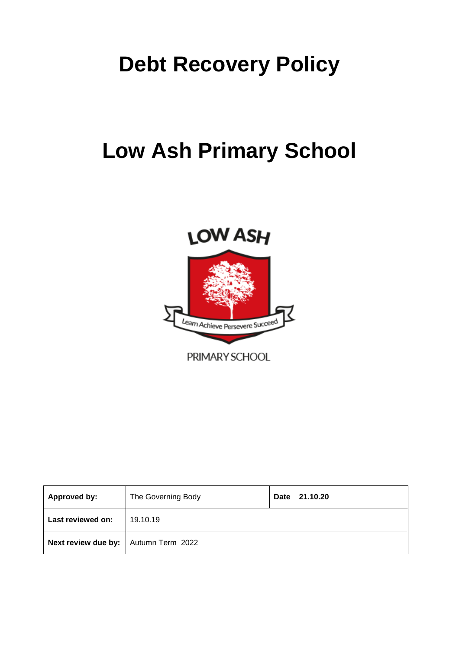# **Debt Recovery Policy**

# **Low Ash Primary School**



PRIMARY SCHOOL

| Approved by:                           | The Governing Body | 21.10.20<br>Date |  |  |  |
|----------------------------------------|--------------------|------------------|--|--|--|
| Last reviewed on:                      | 19.10.19           |                  |  |  |  |
| Next review due by:   Autumn Term 2022 |                    |                  |  |  |  |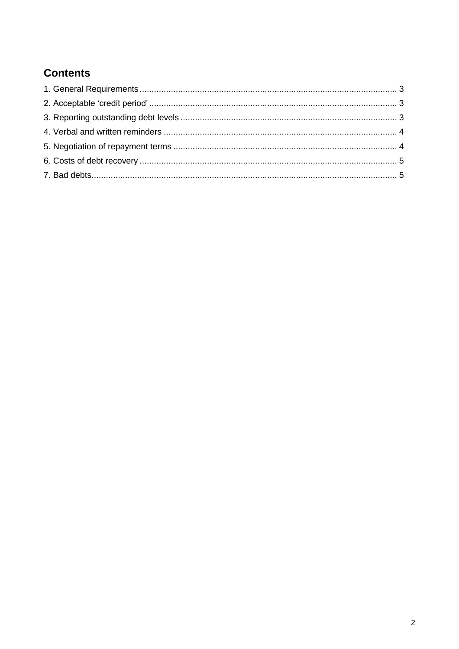## **Contents**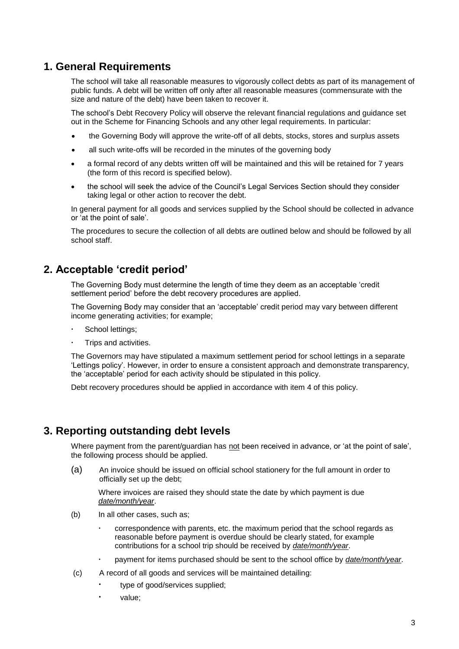## **1. General Requirements**

The school will take all reasonable measures to vigorously collect debts as part of its management of public funds. A debt will be written off only after all reasonable measures (commensurate with the size and nature of the debt) have been taken to recover it.

The school's Debt Recovery Policy will observe the relevant financial regulations and guidance set out in the Scheme for Financing Schools and any other legal requirements. In particular:

- the Governing Body will approve the write-off of all debts, stocks, stores and surplus assets
- all such write-offs will be recorded in the minutes of the governing body
- a formal record of any debts written off will be maintained and this will be retained for 7 years (the form of this record is specified below).
- the school will seek the advice of the Council's Legal Services Section should they consider taking legal or other action to recover the debt.

In general payment for all goods and services supplied by the School should be collected in advance or 'at the point of sale'.

The procedures to secure the collection of all debts are outlined below and should be followed by all school staff.

## **2. Acceptable 'credit period'**

The Governing Body must determine the length of time they deem as an acceptable 'credit settlement period' before the debt recovery procedures are applied.

The Governing Body may consider that an 'acceptable' credit period may vary between different income generating activities; for example;

- School lettings;
- Trips and activities.

The Governors may have stipulated a maximum settlement period for school lettings in a separate 'Lettings policy'. However, in order to ensure a consistent approach and demonstrate transparency, the 'acceptable' period for each activity should be stipulated in this policy.

Debt recovery procedures should be applied in accordance with item 4 of this policy.

## **3. Reporting outstanding debt levels**

Where payment from the parent/guardian has not been received in advance, or 'at the point of sale', the following process should be applied.

(a) An invoice should be issued on official school stationery for the full amount in order to officially set up the debt;

Where invoices are raised they should state the date by which payment is due *date/month/year*.

- (b) In all other cases, such as;
	- correspondence with parents, etc. the maximum period that the school regards as reasonable before payment is overdue should be clearly stated, for example contributions for a school trip should be received by *date/month/year*.
	- payment for items purchased should be sent to the school office by *date/month/year*.
- (c) A record of all goods and services will be maintained detailing:
	- type of good/services supplied;
	- value;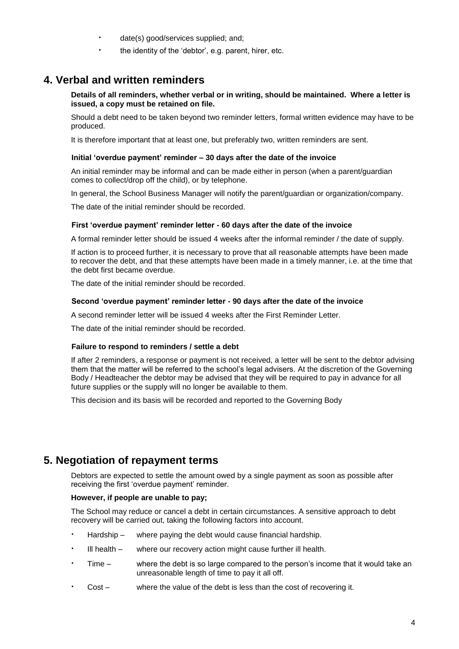- date(s) good/services supplied; and;
	- the identity of the 'debtor', e.g. parent, hirer, etc.

## **4. Verbal and written reminders**

#### **Details of all reminders, whether verbal or in writing, should be maintained. Where a letter is issued, a copy must be retained on file.**

Should a debt need to be taken beyond two reminder letters, formal written evidence may have to be produced.

It is therefore important that at least one, but preferably two, written reminders are sent.

#### **Initial 'overdue payment' reminder – 30 days after the date of the invoice**

An initial reminder may be informal and can be made either in person (when a parent/guardian comes to collect/drop off the child), or by telephone.

In general, the School Business Manager will notify the parent/guardian or organization/company.

The date of the initial reminder should be recorded.

#### **First 'overdue payment' reminder letter - 60 days after the date of the invoice**

A formal reminder letter should be issued 4 weeks after the informal reminder / the date of supply.

If action is to proceed further, it is necessary to prove that all reasonable attempts have been made to recover the debt, and that these attempts have been made in a timely manner, i.e. at the time that the debt first became overdue.

The date of the initial reminder should be recorded.

#### **Second 'overdue payment' reminder letter - 90 days after the date of the invoice**

A second reminder letter will be issued 4 weeks after the First Reminder Letter.

The date of the initial reminder should be recorded.

#### **Failure to respond to reminders / settle a debt**

If after 2 reminders, a response or payment is not received, a letter will be sent to the debtor advising them that the matter will be referred to the school's legal advisers. At the discretion of the Governing Body / Headteacher the debtor may be advised that they will be required to pay in advance for all future supplies or the supply will no longer be available to them.

This decision and its basis will be recorded and reported to the Governing Body

## **5. Negotiation of repayment terms**

Debtors are expected to settle the amount owed by a single payment as soon as possible after receiving the first 'overdue payment' reminder.

#### **However, if people are unable to pay;**

The School may reduce or cancel a debt in certain circumstances. A sensitive approach to debt recovery will be carried out, taking the following factors into account.

- Hardship where paying the debt would cause financial hardship.
- Ill health where our recovery action might cause further ill health.
- Time where the debt is so large compared to the person's income that it would take an unreasonable length of time to pay it all off.
- Cost where the value of the debt is less than the cost of recovering it.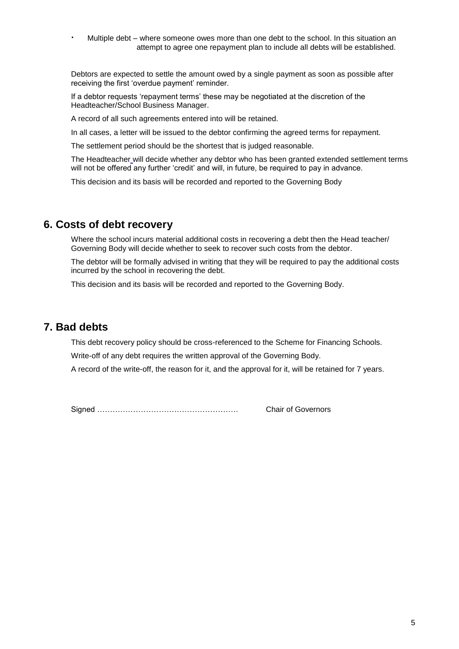Multiple debt – where someone owes more than one debt to the school. In this situation an attempt to agree one repayment plan to include all debts will be established.

Debtors are expected to settle the amount owed by a single payment as soon as possible after receiving the first 'overdue payment' reminder.

If a debtor requests 'repayment terms' these may be negotiated at the discretion of the Headteacher/School Business Manager.

A record of all such agreements entered into will be retained.

In all cases, a letter will be issued to the debtor confirming the agreed terms for repayment.

The settlement period should be the shortest that is judged reasonable.

The Headteacher will decide whether any debtor who has been granted extended settlement terms will not be offered any further 'credit' and will, in future, be required to pay in advance.

This decision and its basis will be recorded and reported to the Governing Body

### **6. Costs of debt recovery**

Where the school incurs material additional costs in recovering a debt then the Head teacher/ Governing Body will decide whether to seek to recover such costs from the debtor.

The debtor will be formally advised in writing that they will be required to pay the additional costs incurred by the school in recovering the debt.

This decision and its basis will be recorded and reported to the Governing Body.

### **7. Bad debts**

This debt recovery policy should be cross-referenced to the Scheme for Financing Schools.

Write-off of any debt requires the written approval of the Governing Body.

A record of the write-off, the reason for it, and the approval for it, will be retained for 7 years.

Signed ………………………………………………. Chair of Governors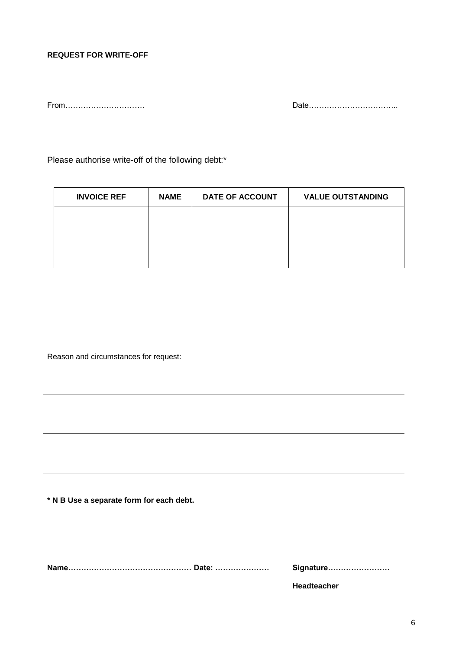#### **REQUEST FOR WRITE-OFF**

From…………………………. Date……………………………..

Please authorise write-off of the following debt:\*

| <b>INVOICE REF</b> | <b>NAME</b> | <b>DATE OF ACCOUNT</b> | <b>VALUE OUTSTANDING</b> |
|--------------------|-------------|------------------------|--------------------------|
|                    |             |                        |                          |
|                    |             |                        |                          |
|                    |             |                        |                          |
|                    |             |                        |                          |

Reason and circumstances for request:

**\* N B Use a separate form for each debt.**

**Name………………………………………… Date: ………………… Signature……………………**

**Headteacher**